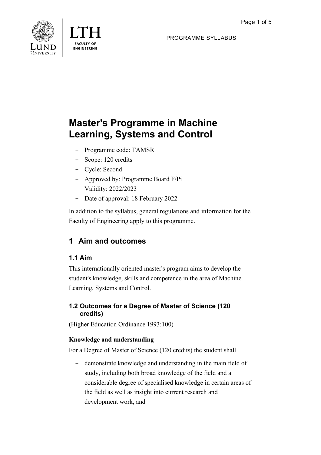



PROGRAMME SYLLABUS

# **Master's Programme in Machine Learning, Systems and Control**

- Programme code: TAMSR
- Scope: 120 credits
- Cycle: Second
- Approved by: Programme Board F/Pi
- Validity: 2022/2023
- Date of approval: 18 February 2022

In addition to the syllabus, general regulations and information for the Faculty of Engineering apply to this programme.

## **1 Aim and outcomes**

## **1.1 Aim**

This internationally oriented master's program aims to develop the student's knowledge, skills and competence in the area of Machine Learning, Systems and Control.

## **1.2 Outcomes for a Degree of Master of Science (120 credits)**

(Higher Education Ordinance 1993:100)

## **Knowledge and understanding**

For a Degree of Master of Science (120 credits) the student shall

- demonstrate knowledge and understanding in the main field of study, including both broad knowledge of the field and a considerable degree of specialised knowledge in certain areas of the field as well as insight into current research and development work, and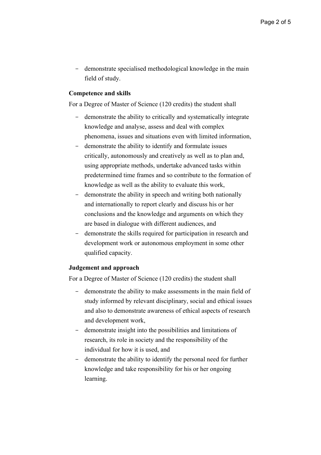- demonstrate specialised methodological knowledge in the main field of study.

#### **Competence and skills**

For a Degree of Master of Science (120 credits) the student shall

- demonstrate the ability to critically and systematically integrate knowledge and analyse, assess and deal with complex phenomena, issues and situations even with limited information,
- demonstrate the ability to identify and formulate issues critically, autonomously and creatively as well as to plan and, using appropriate methods, undertake advanced tasks within predetermined time frames and so contribute to the formation of knowledge as well as the ability to evaluate this work,
- demonstrate the ability in speech and writing both nationally and internationally to report clearly and discuss his or her conclusions and the knowledge and arguments on which they are based in dialogue with different audiences, and
- demonstrate the skills required for participation in research and development work or autonomous employment in some other qualified capacity.

#### **Judgement and approach**

For a Degree of Master of Science (120 credits) the student shall

- demonstrate the ability to make assessments in the main field of study informed by relevant disciplinary, social and ethical issues and also to demonstrate awareness of ethical aspects of research and development work,
- demonstrate insight into the possibilities and limitations of research, its role in society and the responsibility of the individual for how it is used, and
- demonstrate the ability to identify the personal need for further knowledge and take responsibility for his or her ongoing learning.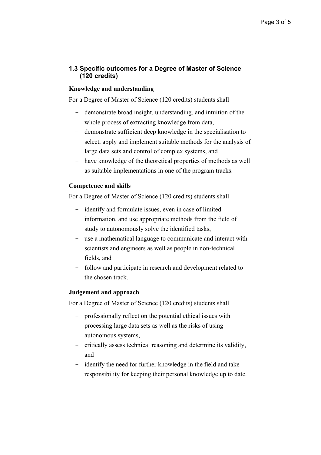#### **1.3 Specific outcomes for a Degree of Master of Science (120 credits)**

#### **Knowledge and understanding**

For a Degree of Master of Science (120 credits) students shall

- demonstrate broad insight, understanding, and intuition of the whole process of extracting knowledge from data,
- demonstrate sufficient deep knowledge in the specialisation to select, apply and implement suitable methods for the analysis of large data sets and control of complex systems, and
- have knowledge of the theoretical properties of methods as well as suitable implementations in one of the program tracks.

#### **Competence and skills**

For a Degree of Master of Science (120 credits) students shall

- identify and formulate issues, even in case of limited information, and use appropriate methods from the field of study to autonomously solve the identified tasks,
- use a mathematical language to communicate and interact with scientists and engineers as well as people in non-technical fields, and
- follow and participate in research and development related to the chosen track.

#### **Judgement and approach**

For a Degree of Master of Science (120 credits) students shall

- professionally reflect on the potential ethical issues with processing large data sets as well as the risks of using autonomous systems,
- critically assess technical reasoning and determine its validity, and
- identify the need for further knowledge in the field and take responsibility for keeping their personal knowledge up to date.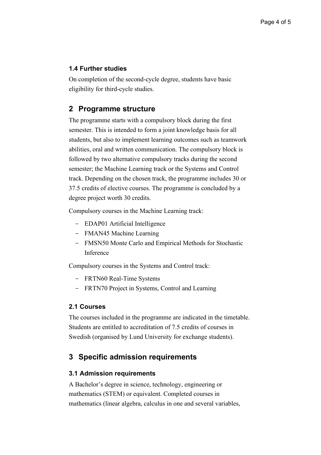#### **1.4 Further studies**

On completion of the second-cycle degree, students have basic eligibility for third-cycle studies.

## **2 Programme structure**

The programme starts with a compulsory block during the first semester. This is intended to form a joint knowledge basis for all students, but also to implement learning outcomes such as teamwork abilities, oral and written communication. The compulsory block is followed by two alternative compulsory tracks during the second semester; the Machine Learning track or the Systems and Control track. Depending on the chosen track, the programme includes 30 or 37.5 credits of elective courses. The programme is concluded by a degree project worth 30 credits.

Compulsory courses in the Machine Learning track:

- EDAP01 Artificial Intelligence
- FMAN45 Machine Learning
- FMSN50 Monte Carlo and Empirical Methods for Stochastic Inference

Compulsory courses in the Systems and Control track:

- FRTN60 Real-Time Systems
- FRTN70 Project in Systems, Control and Learning

#### **2.1 Courses**

The courses included in the programme are indicated in the timetable. Students are entitled to accreditation of 7.5 credits of courses in Swedish (organised by Lund University for exchange students).

## **3 Specific admission requirements**

#### **3.1 Admission requirements**

A Bachelor's degree in science, technology, engineering or mathematics (STEM) or equivalent. Completed courses in mathematics (linear algebra, calculus in one and several variables,